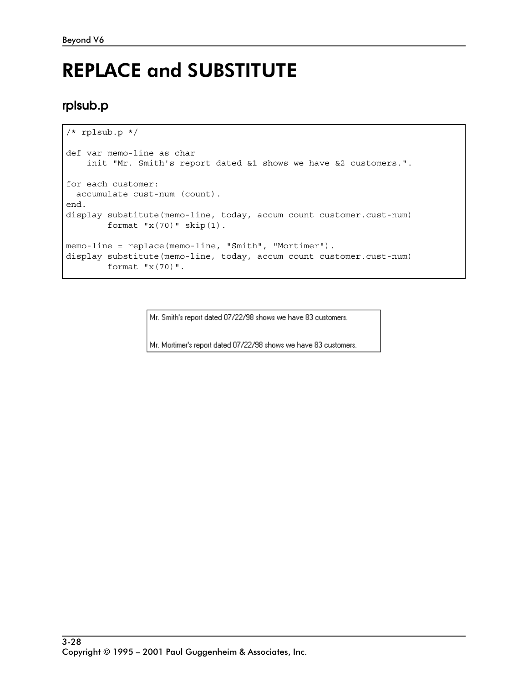# REPLACE and SUBSTITUTE

## **rplsub.p**

```
/* rplsub.p */
def var memo-line as char
     init "Mr. Smith's report dated &1 shows we have &2 customers.".
for each customer:
   accumulate cust-num (count).
end.
display substitute(memo-line, today, accum count customer.cust-num)
        format "x(70)" skip(1).
memo-line = replace(memo-line, "Smith", "Mortimer").
display substitute(memo-line, today, accum count customer.cust-num)
         format "x(70)".
```
Mr. Smith's report dated 07/22/98 shows we have 83 customers.

Mr. Mortimer's report dated 07/22/98 shows we have 83 customers.